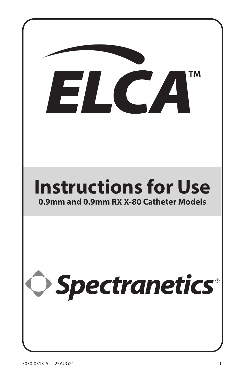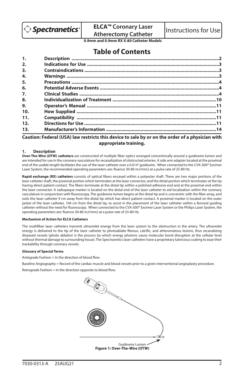

**ELCA™ Coronary Laser ELCA<sup>T</sup> Coronary Laser** | Instructions for Use<br>Atherectomy Catheter

**0.9mm and 0.9mm RX X-80 Catheter Models**

# **Table of Contents**

| 1.  |  |
|-----|--|
| 2.  |  |
| 3.  |  |
| 4.  |  |
| 5.  |  |
| 6.  |  |
| 7.  |  |
| 8.  |  |
| 9.  |  |
| 10. |  |
| 11. |  |
| 12. |  |
| 13. |  |
|     |  |

# **Caution: Federal (USA) law restricts this device to sale by or on the order of a physician with appropriate training.**

### **1. Description**

**Over-The-Wire (OTW) catheters** are constructed of multiple fiber optics arranged concentrically around a guidewire lumen and are intended for use in the coronary vasculature for recanalization of obstructed arteries. A side arm adapter located at the proximal end of the usable length facilitates the use of the laser catheter over a 0.014" guidewire. When connected to the CVX-300® Excimer Laser System, the recommended operating parameters are: fluence 30-80 mJ/mm2 at a pulse rate of 25-80 Hz.

**Rapid exchange (RX) catheters** consists of optical fibers encased within a polyester shaft. There are two major portions of the laser catheter shaft, the proximal portion which terminates at the laser connector, and the distal portion which terminates at the tip having direct patient contact. The fibers terminate at the distal tip within a polished adhesive end and at the proximal end within the laser connector. A radiopaque marker is located on the distal end of the laser catheter to aid localization within the coronary vasculature in conjunction with fluoroscopy. The guidewire lumen begins at the distal tip and is concentric with the fiber array, and exits the laser catheter 9 cm away from the distal tip which has direct patient contact. A proximal marker is located on the outer jacket of the laser catheter, 104 cm from the distal tip, to assist in the placement of the laser catheter within a femoral guiding catheter without the need for fluoroscopy. When connected to the CVX-300® Excimer Laser System or the Philips Laser System, the operating parameters are: fluence 30-80 mJ/mm2 at a pulse rate of 25-80 Hz.

### **Mechanism of Action for ELCA Catheters**

The multifiber laser catheters transmit ultraviolet energy from the laser system to the obstruction in the artery. The ultraviolet energy is delivered to the tip of the laser catheter to photoablate fibrous, calcific, and atheromatous lesions, thus recanalizing diseased vessels (photo ablation is the process by which energy photons cause molecular bond disruption at the cellular level without thermal damage to surrounding tissue). The Spectranetics laser catheters have a proprietary lubricious coating to ease their trackability through coronary vessels.

### **Glossary of Special Terms**

Antegrade Fashion = In the direction of blood flow.

Baseline Angiography = Record of the cardiac muscle and blood vessels prior to a given interventional angioplasty procedure.

Retrograde Fashion = In the direction opposite to blood flow.

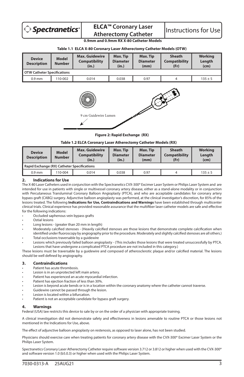

### **Table 1.1 ELCA X-80 Coronary Laser Atherectomy Catheter Models (OTW)**

| <b>Device</b><br><b>Description</b> | <b>Model</b><br><b>Number</b> | <b>Max. Guidewire</b><br><b>Compatibility</b><br>(in.) | Max. Tip<br><b>Diameter</b><br>(in.) | Max. Tip<br><b>Diameter</b><br>(mm) | <b>Sheath</b><br><b>Compatibility</b><br>(Fr) | Working<br>Length<br>(c <sub>m</sub> ) |  |
|-------------------------------------|-------------------------------|--------------------------------------------------------|--------------------------------------|-------------------------------------|-----------------------------------------------|----------------------------------------|--|
| <b>OTW Catheter Specifications</b>  |                               |                                                        |                                      |                                     |                                               |                                        |  |
| $0.9$ mm                            | 110-002                       | 0.014                                                  | 0.038                                | 0.97                                | 4                                             | $135 + 5$                              |  |



#### **Figure 2: Rapid Exchange (RX)**

### **Table 1.2 ELCA Coronary Laser Atherectomy Catheter Models (RX)**

| <b>Device</b><br><b>Description</b>         | <b>Model</b><br><b>Number</b> | <b>Max. Guidewire</b><br><b>Compatibility</b><br>(in.) | Max. Tip<br><b>Diameter</b><br>(in.) | Max. Tip<br><b>Diameter</b><br>(mm) | <b>Sheath</b><br><b>Compatibility</b><br>(Fr) | Working<br>Length<br>(c <sub>m</sub> ) |  |
|---------------------------------------------|-------------------------------|--------------------------------------------------------|--------------------------------------|-------------------------------------|-----------------------------------------------|----------------------------------------|--|
| Rapid Exchange (RX) Catheter Specifications |                               |                                                        |                                      |                                     |                                               |                                        |  |
| $0.9$ mm                                    | 110-004                       | 0.014                                                  | 0.038                                | 0.97                                | 4                                             | $135 + 5$                              |  |

### **2. Indications for Use**

The X-80 Laser Catheters used in conjunction with the Spectranetics CVX-300® Excimer Laser System or Philips Laser System and are intended for use in patients with single or multivessel coronary artery disease, either as a stand-alone modality or in conjunction with Percutaneous Transluminal Coronary Balloon Angioplasty (PTCA), and who are acceptable candidates for coronary artery bypass graft (CABG) surgery. Adjunctive balloon angioplasty was performed, at the clinical investigator's discretion, for 85% of the lesions treated. The following **Indications for Use, Contraindications and Warnings** have been established through multicenter clinical trials. Clinical experience has provided reasonable assurance that the multifiber laser catheter models are safe and effective for the following indications:

- Occluded saphenous vein bypass grafts
- Ostial lesions
- Long lesions (greater than 20 mm in length)
- Moderately calcified stenoses (Heavily calcified stenoses are those lesions that demonstrate complete calcification when identified under fluoroscopy by angiography prior to the procedure. Moderately and slightly calcified stenoses are all others.) Total occlusions traversable by a guidewire
- Lesions which previously failed balloon angioplasty (This includes those lesions that were treated unsuccessfully by PTCA. Lesions that have undergone a complicated PTCA procedure are not included in this category.)

These lesions must be traversable by a guidewire and composed of atherosclerotic plaque and/or calcified material. The lesions should be well defined by angiography.

### **3. Contraindications**

- Patient has acute thrombosis.
- Lesion is in an unprotected left main artery.
- Patient has experienced an acute myocardial infarction.
- Patient has ejection fraction of less than 30%.
- Lesion is beyond acute bends or is in a location within the coronary anatomy where the catheter cannot traverse.
- Guidewire cannot be passed through the lesion.
- Lesion is located within a bifurcation.
- Patient is not an acceptable candidate for bypass graft surgery.

#### **4. Warnings**

Federal (USA) law restricts this device to sale by or on the order of a physician with appropriate training.

A clinical investigation did not demonstrate safety and effectiveness in lesions amenable to routine PTCA or those lesions not mentioned in the Indications for Use, above.

The effect of adjunctive balloon angioplasty on restenosis, as opposed to laser alone, has not been studied.

Physicians should exercise care when treating patients for coronary artery disease with the CVX-300® Excimer Laser System or the Philips Laser System.

Spectranetics Coronary Laser Atherectomy Catheter require software version 3.712 or 3.812 or higher when used with the CVX-300® and software version 1.0 (b5.0.3) or higher when used with the Philips Laser System.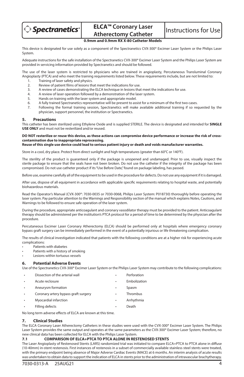

This device is designated for use solely as a component of the Spectranetics CVX-300® Excimer Laser System or the Philips Laser System.

Adequate instructions for the safe installation of the Spectranetics CVX-300® Excimer Laser System and the Philips Laser System are provided in servicing information provided by Spectranetics and should be followed.

The use of the laser system is restricted to physicians who are trained in angioplasty, Percutaneous Transluminal Coronary Angioplasty (PTCA) and who meet the training requirements listed below. These requirements include, but are not limited to:

- 1. Training of laser safety and physics.<br>2. Review of patient films of lesions th
- Review of patient films of lesions that meet the indications for use.
- 3. A review of cases demonstrating the ELCA technique in lesions that meet the indications for use.<br> $\Delta$  A review of laser operation followed by a demonstration of the laser system
- A review of laser operation followed by a demonstration of the laser system.
- 5. Hands on training with the laser system and appropriate model.
- 6. A fully trained Spectranetics representative will be present to assist for a minimum of the first two cases.
- 7. Following the formal training session, Spectranetics will make available additional training if so requested by the physician, support personnel, the institution or Spectranetics.

### **5. Precautions**

This catheter has been sterilized using Ethylene Oxide and is supplied STERILE. The device is designated and intended for **SINGLE USE ONLY** and must not be resterilized and/or reused.

#### **DO NOT resterilize or reuse this device, as these actions can compromise device performance or increase the risk of crosscontamination due to inappropriate reprocessing. Reuse of this single use device could lead to serious patient injury or death and voids manufacturer warranties.**

Store in a cool, dry place. Protect from direct sunlight and high temperatures (greater than 60°C or 140°F).

The sterility of the product is guaranteed only if the package is unopened and undamaged. Prior to use, visually inspect the sterile package to ensure that the seals have not been broken. Do not use the catheter if the integrity of the package has been compromised. Do not use catheter product if its "Use Before Date," found on package labeling, has passed.

Before use, examine carefully all of the equipment to be used in the procedure for defects. Do not use any equipment if it is damaged.

After use, dispose of all equipment in accordance with applicable specific requirements relating to hospital waste, and potentially biohazardous materials.

Read the Operator's Manual (CVX-300®: 7030-0035 or 7030-0068, Philips Laser System: P018730) thoroughly before operating the laser system. Pay particular attention to the Warnings and Responsibility section of the manual which explains Notes, Cautions, and Warnings to be followed to ensure safe operation of the laser system.

During the procedure, appropriate anticoagulant and coronary vasodilator therapy must be provided to the patient. Anticoagulant therapy should be administered per the institution's PTCA protocol for a period of time to be determined by the physician after the procedure.

Percutaneous Excimer Laser Coronary Atherectomy (ELCA) should be performed only at hospitals where emergency coronary bypass graft surgery can be immediately performed in the event of a potentially injurious or life threatening complication.

The results of clinical investigation indicated that patients with the following conditions are at a higher risk for experiencing acute complications:

- Patients with diabetes
- Patients with a history of smoking
- Lesions within tortuous vessels

### **6. Potential Adverse Events**

Use of the Spectranetics CVX-300® Excimer Laser System or the Philips Laser System may contribute to the following complications:

Dissection of the arterial wall **•** Perforation • Acute reclosure • Embolization • Aneurysm formation • Spasm Coronary artery bypass graft surgery **•** Thrombus Myocardial infarction **•** Arrhythmia • Filling defects • Death

No long term adverse effects of ELCA are known at this time.

### **7. Clinical Studies**

The ELCA Coronary Laser Atherectomy Catheters in these studies were used with the CVX-300® Excimer Laser System. The Philips Laser System provides the same output and operates at the same parameters as the CVX-300® Excimer Laser System; therefore, no new clinical data has been collected for ELCA with the Philips Laser System.

### **7.1 COMPARISON OF ELCA+PTCA TO PTCA ALONE IN RESTENOSED STENTS**

The Laser Angioplasty of Restenosed Stents (LARS) randomized trial was initiated to compare ELCA+PTCA to PTCA alone in diffuse (10-40mm) in-stent restenosis. First instances of restenosis in a subset of commercially available stainless steel stents were treated, with the primary endpoint being absence of Major Adverse Cardiac Events (MACE) at 6 months. An interim analysis of acute results was undertaken to obtain data to support the indication of ELCA in stents prior to the administration of intravascular brachytherapy.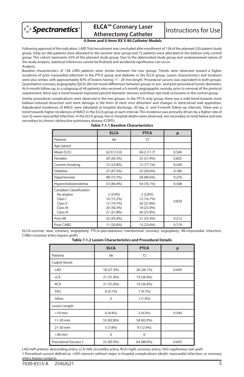> Spectranetics\*

**ELCA™ Coronary Laser ELCA<sup>T</sup> Coronary Laser** | Instructions for Use<br>Atherectomy Catheter

### **0.9mm and 0.9mm RX X-80 Catheter Models**

Following approval of the indication, LARS Trial recruitment was concluded after enrollment of 138 of the planned 320 patient study group. Sixty-six (66) patients were allocated to the excimer laser group and 72 patients were allocated to the balloon only control group. This cohort represents 43% of the planned study group. Due to the abbreviated study group and underpowered nature of the study analysis, statistical inferences cannot be finalized and accidental significance can occur. Analysis:

Baseline characteristics of 138 LARS patients were similar between the two groups. Trends were observed toward a higher incidence of prior myocardial infarction in the PTCA group and diabetes in the ELCA group. Lesion characteristics and locations were also similar, with approximately 83% of lesions having 11 - 20 mm length. Procedural success was equivalent in both groups. Quantitative coronary angiography (QCA) did not reveal differences between groups in pre- and post-procedural lumen diameters. At 6-month follow-up, in a subgroup of 49 patients who received a 6-month angiographic restudy, prior to removal of the protocol requirement, there was a trend towards improved percent diameter stenosis and fewer late total occlusions in the control group.

Similar procedural complications were observed in the two groups. In the PTCA-only group, there was a mild trend towards more balloon-induced dissection and stent damage in the form of stent strut distortion and changes in stent:vessel wall apposition. Adjudicated incidences of MACE were tabulated at hospital discharge, 30-day, 6- and 9-month follow-up intervals. There was a trend towards higher incidences of MACE in the ELCA group at each interval. This incidence was primarily driven by a higher rate of non-Q-wave myocardial infarction. In the ELCA group, two in-hospital deaths were observed, one secondary to renal failure and one secondary to chronic obstructive pulmonary disease (COPD).

|                                                                                                 | <b>ELCA</b>                                                        | <b>PTCA</b>                                                        | p     |
|-------------------------------------------------------------------------------------------------|--------------------------------------------------------------------|--------------------------------------------------------------------|-------|
| Patients                                                                                        | 66                                                                 | 72                                                                 |       |
| Age (years)                                                                                     |                                                                    |                                                                    |       |
| Mean (S.D.)                                                                                     | 62.9 (12.0)                                                        | 64.2 (11.7)                                                        | 0.540 |
| Females                                                                                         | 20 (30.3%)                                                         | 23 (31.9%)                                                         | 0.835 |
| Current Smoking                                                                                 | 15 (23.8%)                                                         | 12 (17.1%)                                                         | 0.340 |
| <b>Diabetes</b>                                                                                 | 27 (41.5%)                                                         | 22 (30.6%)                                                         | 0.180 |
| Hypertension                                                                                    | 48 (72.7%)                                                         | 58 (80.6%)                                                         | 0.276 |
| Hypercholesterolemia                                                                            | 53 (80.4%)                                                         | 54 (76.1%)                                                         | 0.548 |
| Canadian Classification<br>No angina<br>Class <sub>1</sub><br>Class II<br>Class III<br>Class IV | $2(3.0\%)$<br>10 (15.2%)<br>13 (19.7%)<br>20 (30.3%)<br>21 (31.8%) | $2(2.8\%)$<br>12 (16.7%)<br>20 (27.8%)<br>18 (25.0%)<br>20 (27.8%) | 0.820 |
| Prior MI                                                                                        | 23 (43.4%)                                                         | 31 (55.4%)                                                         | 0.212 |
| Prior CABG                                                                                      | 11 (20.8%)                                                         | 13 (23.6%)                                                         | 0.719 |

### **Table 7.1.1 Baseline Characteristics**

ELCA=excimer laser coronary angioplasty, PTCA=percutaneous transluminal coronary angioplasty, MI=myocardial infarction, CABG=coronary artery bypass grafts

|  | Table 7.1.2 Lesion Characteristics and Procedural Details |  |  |
|--|-----------------------------------------------------------|--|--|
|--|-----------------------------------------------------------|--|--|

|                       | <b>ELCA</b> | <b>PTCA</b> | p     |
|-----------------------|-------------|-------------|-------|
| Patients              | 66          | 72          |       |
| <b>Culprit Vessel</b> |             |             |       |
| LAD                   | 18 (27.3%)  | 26 (36.1%)  | 0.649 |
| <b>LCX</b>            | 21 (31.8%)  | 19 (26.4%)  |       |
| <b>RCA</b>            | 21 (31.8%)  | 19 (26.4%)  |       |
| SVG                   | $6(9.1\%)$  | 7 (9.7%)    |       |
| Other                 | $\Omega$    | 1(1.4%)     |       |
| Lesion Length         |             |             |       |
| $<$ 10 mm             | 6(9.4%)     | $3(4.3\%)$  | 0.349 |
| 11-20 mm              | 53 (82.8%)  | 58 (82.9%)  |       |
| 21-30 mm              | 5(7.8%)     | 9 (12.9%)   |       |
| $>30$ mm              | $\mathbf 0$ | $\mathbf 0$ |       |
| Procedural Success +  | 55 (85.9%)  | 64 (88.9%)  | 0.603 |

LAD=left anterior descending artery, LCX=left circumflex artery, RCA=right coronary artery, SVG=saphenous vein graft † Procedural success defined as <50% stenosis without major in-hospital complications (death, myocardial infarction, or coronary artery bypass surgery).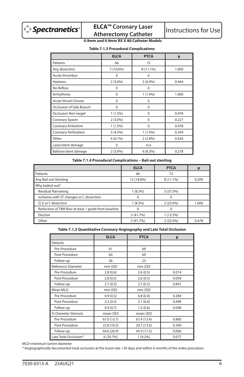

# **ELCA™ Coronary Laser ELCA<sup>™</sup> Coronary Laser** Instructions for Use<br>Atherectomy Catheter Instructions for Use

# **0.9mm and 0.9mm RX X-80 Catheter Models**

### **Table 7.1.3 Procedural Complications**

|                             | <b>ELCA</b> | <b>PTCA</b> | p     |
|-----------------------------|-------------|-------------|-------|
| Patients                    | 66          | 72          |       |
| Any dissection              | 7 (10.6%)   | 8 (11.1%)   | 1.000 |
| Acute thrombus              | $\Omega$    | $\Omega$    |       |
| <b>Haziness</b>             | $2(3.0\%)$  | 5(6.9%)     | 0.444 |
| No Reflow                   | $\Omega$    | $\Omega$    |       |
| Arrhythmia                  | $\Omega$    | 1(1.4%)     | 1.000 |
| <b>Acute Vessel Closure</b> | $\Omega$    | $\Omega$    |       |
| Occlusion of Side Branch    | $\Omega$    | $\Omega$    |       |
| <b>Occlusion Non-target</b> | 1(1.5%)     | $\Omega$    | 0.478 |
| Coronary Spasm              | $2(3.0\%)$  | $\Omega$    | 0.227 |
| Coronary Embolism           | $1(1.5\%)$  | $\Omega$    | 0.478 |
| Coronary Perforation        | $3(4.5\%)$  | 1(1.4%)     | 0.349 |
| Other                       | $4(6.1\%)$  | $2(2.8\%)$  | 0.426 |
| Laser/stent damage          | $\Omega$    | n/a         |       |
| Balloon/stent damage        | $2(3.0\%)$  | 6(8.3%)     | 0.278 |

### **Table 7.1.4 Procedural Complications – Bail-out stenting**

|                                                       | <b>ELCA</b> | <b>PTCA</b> |       |
|-------------------------------------------------------|-------------|-------------|-------|
| Patients                                              | 66          | 72          |       |
| Any Bail-out Stenting                                 | 12 (18.8%)  | 8 (11.1%)   | 0.209 |
| Why bailed-out?                                       |             |             |       |
| <b>Residual Narrowing</b>                             | $1(8.3\%)$  | 3 (37.5%)   |       |
| Ischemia with ST changes or C dissection              | 0           |             |       |
| D, E or F dissection                                  | $1(8.3\%)$  | $2(25.0\%)$ | 1.000 |
| Reduction of TIMI flow at least 1 grade from baseline | 0           | $\Omega$    |       |
| Elective                                              | 5 (41.7%)   | 1(12.5%)    |       |
| Other                                                 | 5 (41.7%)   | 2 (25.0%)   | 0.478 |

### **Table 7.1.5 Quantitative Coronary Angiography and Late Total Occlusion**

|                       | <b>ELCA</b> | <b>PTCA</b> | p     |
|-----------------------|-------------|-------------|-------|
| Patients              |             |             |       |
| Pre-Procedure         | 61          | 69          |       |
| Post-Procedure        | 60          | 69          |       |
| Follow-up             | 26          | 23          |       |
| Reference Diameter    | mm (SD)     | mm (SD)     |       |
| Pre-Procedure         | 2.8(0.6)    | 2.6(0.5)    | 0.014 |
| Post-Procedure        | 2.8(0.5)    | 2.6(0.5)    | 0.059 |
| Follow-up             | 2.7(0.5)    | 2.7(0.5)    | 0.891 |
| Mean MLD              | mm (SD)     | mm (SD)     |       |
| Pre-Procedure         | 0.9(0.5)    | 0.8(0.4)    | 0.284 |
| Post-Procedure        | 2.2(0.5)    | 2.1(0.6)    | 0.499 |
| Follow-up             | 0.9(0.7)    | 1.5(0.6)    | 0.008 |
| % Diameter Stenosis   | mean (SD)   | mean (SD)   |       |
| Pre-Procedure         | 67.0 (13.7) | 67.4 (13.4) | 0.860 |
| Post-Procedure        | 22.8 (10.5) | 20.7 (13.6) | 0.340 |
| Follow-up             | 64.6 (26.9) | 45.9 (17.3) | 0.006 |
| Late Total Occlusion* | 6 (20.7%)   | $1(4.2\%)$  | 0.077 |

MLD=minimum lumen diameter

\* Angiographically documented total occlusion at the lesion site >30 days and within 6 months of the index procedure.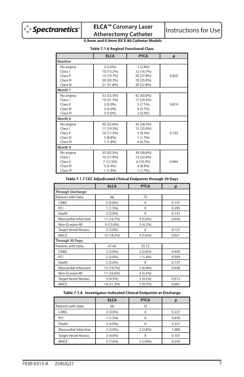

# **ELCA™ Coronary Laser ELCA<sup>™</sup> Coronary Laser** Instructions for Use<br>Atherectomy Catheter Instructions for Use

# **0.9mm and 0.9mm RX X-80 Catheter Models**

### **Table 7.1.6 Anginal Functional Class**

|                    | <b>ELCA</b> | <b>PTCA</b> |       |
|--------------------|-------------|-------------|-------|
|                    |             |             | p     |
| <b>Baseline</b>    |             |             |       |
| No angina          | $2(3.0\%)$  | $2(2.8\%)$  |       |
| Class <sub>1</sub> | 10 (15.2%)  | 12 (16.7%)  |       |
| Class II           | 13 (19.7%)  | 20 (27.8%)  | 0.820 |
| Class III          | 20 (30.3%)  | 18 (25.0%)  |       |
| Class IV           | 21 (31.8%)  | 20 (27.8%)  |       |
| Month 1            |             |             |       |
| No angina          | 32 (53.3%)  | 42 (60.0%)  |       |
| Class <sub>1</sub> | 19 (31.7%)  | 17 (24.3%)  |       |
| Class II           | $3(5.0\%)$  | $5(7.1\%)$  | 0.819 |
| Class III          | $3(5.0\%)$  | 4 (5.7%)    |       |
| Class IV           | $3(5.0\%)$  | 2(2.9%)     |       |
| Month 6            |             |             |       |
| No angina          | 30 (52.6%)  | 35 (58.3%)  |       |
| Class I            | 11 (19.3%)  | 15 (25.0%)  |       |
| Class II           | 10 (17.5%)  | 5(8.3%)     | 0.133 |
| Class III          | $5(8.8\%)$  | $1(1.7\%)$  |       |
| Class IV           | $1(1.8\%)$  | 4(6.7%)     |       |
| Month 9            |             |             |       |
| No angina          | 35 (62.5%)  | 34 (58.6%)  |       |
| Class I            | 10 (17.9%)  | 13 (22.4%)  |       |
| Class II           | 7 (12.5%)   | 6 (10.3%)   | 0.964 |
| Class III          | $3(5.4\%)$  | $4(6.9\%)$  |       |
| Class IV           | $1(1.8\%)$  | 1(1.7%)     |       |

# **Table 7.1.7 CEC Adjudicated Clinical Endpoints through 30 Days**

|                       | <b>ELCA</b> | <b>PTCA</b> | p     |  |  |  |
|-----------------------|-------------|-------------|-------|--|--|--|
| Through Discharge:    |             |             |       |  |  |  |
| Patients with Data    | 66          | 72          |       |  |  |  |
| CABG                  | $2(3.0\%)$  | $\Omega$    | 0.137 |  |  |  |
| PCI                   | $1(1.5\%)$  | $\Omega$    | 0.295 |  |  |  |
| Death                 | $2(3.0\%)$  | $\Omega$    | 0.137 |  |  |  |
| Myocardial Infarction | 11 (16.7%)  | 4 (5.6%)    | 0.036 |  |  |  |
| Non-Q-wave MI         | $9(13.6\%)$ | $3(4.2\%)$  |       |  |  |  |
| Target Vessel Revasc. | $2(3.0\%)$  | $\Omega$    | 0.137 |  |  |  |
| <b>MACE</b>           | 12 (18.2%)  | 4 (5.6%)    | 0.021 |  |  |  |
| Through 30 Days:      |             |             |       |  |  |  |
| Patients with Data:   | 4765        | 5572        |       |  |  |  |
| CABG                  | $2(3.0\%)$  | $2(2.8\%)$  | 0.930 |  |  |  |
| PCI                   | $2(3.0\%)$  | 1(1.4%)     | 0.509 |  |  |  |
| Death                 | $2(3.0\%)$  | $\Omega$    | 0.137 |  |  |  |
| Myocardial Infarction | 13 (19.7%)  | 5 (6.9%)    | 0.026 |  |  |  |
| Non-Q-wave MI         | 11 (16.6%)  | 4 (5.5%)    |       |  |  |  |
| Target Vessel Revasc. | $3(4.5\%)$  | 3 (4.2%)    | 0.913 |  |  |  |
| MACE                  | 14 (21.2%)  | 7 (9.7%)    | 0.061 |  |  |  |

### **Table 7.1.8 Investigator-Indicated Clinical Endpoints at Discharge**

|                       | <b>ELCA</b> | <b>PTCA</b> |       |
|-----------------------|-------------|-------------|-------|
| Patients with Data    | 66          | 72          |       |
| CABG                  | $2(3.0\%)$  |             | 0.227 |
| <b>PCI</b>            | $1(1.5\%)$  |             | 0.478 |
| Death                 | $2(3.0\%)$  |             | 0.227 |
| Myocardial Infarction | $2(3.0\%)$  | $2(2.8\%)$  | 1.000 |
| Target Vessel Revasc. | $3(4.6\%)$  |             | 0.107 |
| MACE                  | 5 (7.6%)    | $2(2.8\%)$  | 0.259 |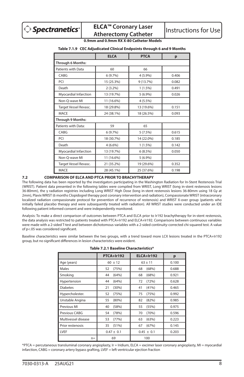

# **ELCA™ Coronary Laser ELCA<sup>T</sup> Coronary Laser** | Instructions for Use<br>Atherectomy Catheter | Instructions for Use

# **0.9mm and 0.9mm RX X-80 Catheter Models**

| Table 7.1.9 CEC Adjudicated Clinical Endpoints through 6 and 9 Months |  |
|-----------------------------------------------------------------------|--|
|-----------------------------------------------------------------------|--|

|                          | <b>ELCA</b> | <b>PTCA</b> | p     |
|--------------------------|-------------|-------------|-------|
| <b>Through 6 Months:</b> |             |             |       |
| Patients with Data       | 60          | 66          |       |
| CABG                     | 6(9.7%)     | 4 (5.9%)    | 0.406 |
| <b>PCI</b>               | 15 (25.3%)  | 9 (13.7%)   | 0.082 |
| Death                    | $2(3.2\%)$  | $1(1.5\%)$  | 0.491 |
| Myocardial Infarction    | 13 (19.7%)  | 5(6.9%)     | 0.026 |
| Non-Q-wave MI            | 11 (16.6%)  | $4(5.5\%)$  |       |
| Target Vessel Revasc.    | 18 (29.8%)  | 13 (19.6%)  | 0.151 |
| MACE                     | 24 (38.1%)  | 18 (26.5%)  | 0.093 |
| Through 9 Months:        |             |             |       |
| Patients with Data:      | 59          | 65          |       |
| CABG                     | 6(9.7%)     | 5(7.5%)     | 0.615 |
| PCI                      | 18 (30.7%)  | 14 (22.0%)  | 0.185 |
| Death                    | $4(6.6\%)$  | $1(1.5\%)$  | 0.142 |
| Myocardial Infarction    | 13 (19.7%)  | 6(8.5%)     | 0.050 |
| Non-O-wave MI            | 11 (16.6%)  | 5(6.9%)     |       |
| Target Vessel Revasc.    | 21 (35.2%)  | 19 (29.6%)  | 0.352 |
| MACE                     | 28 (45.1%)  | 25 (37.6%)  | 0.198 |

### **7.2 COMPARISON OF ELCA AND PTCA PRIOR TO BRACHYTHERAPY**

The following data has been reported by the investigators participating in the Washington Radiation for In-Stent Restenosis Trial (WRIST). Patient data presented in the following tables were compiled from WRIST, Long WRIST (long in-stent restenosis lesions 36-80mm), the γ radiation registries including Long WRIST High Dose (long in-stent restenosis lesions 36-80mm using 18 Gy at 2mm), Plavix WRIST (6 months Clopidogrel therapy post coronary intervention and radiation), Compassionate WRIST (intracoronary localized radiation compassionate protocol for prevention of recurrence of restenosis) and WRIST X-over group (patients who initially failed placebo therapy and were subsequently treated with radiation). All WRIST studies were conducted under an IDE following patient informed consent and were independently monitored.

Analysis: To make a direct comparison of outcomes between PTCA and ELCA prior to Ir192 brachytherapy for in-stent restenosis, the data analysis was restricted to patients treated with PTCA+Ir192 and ELCA+Ir192. Comparisons between continuous variables were made with a 2-sided T-test and between dichotomous variables with a 2-sided continuity-corrected chi-squared test. A value of p<.05 was considered significant.

Baseline characteristics were similar between the two groups, with a trend toward more LCX lesions treated in the PTCA+Ir192 group, but no significant differences in lesion characteristics were evident.

|                     | PTCA+Ir192     | ELCA+Ir192     | p     |
|---------------------|----------------|----------------|-------|
| Age (years)         | $60 \pm 12$    | $63 \pm 11$    | 0.100 |
| Males               | 52<br>(75%)    | 68<br>(68%)    | 0.688 |
| Smoking             | (64%)<br>44    | 68<br>(68%)    | 0.921 |
| Hypertension        | 44<br>(64%)    | 72<br>(72%)    | 0.628 |
| <b>Diabetes</b>     | 21<br>(30%)    | 41<br>(41%)    | 0.465 |
| Hypercholester.     | 52<br>(75%)    | 75<br>(75%)    | 0.992 |
| Unstable Angina     | 55<br>(80%)    | 82<br>(82%)    | 0.985 |
| Previous MI         | 40<br>(58%)    | 55<br>(55%)    | 0.975 |
| Previous CABG       | 54<br>(78%)    | 70<br>(70%)    | 0.596 |
| Multivessel disease | 53<br>(77%)    | 63<br>(63%)    | 0.223 |
| Prior restenosis    | 35<br>(51%)    | 67<br>(67%)    | 0.145 |
| LVEF                | $0.47 \pm 0.1$ | $0.45 \pm 0.1$ | 0.203 |
| $n =$               | 69             | 100            |       |

#### **Table 7.2.1 Baseline Characteristics\***

\*PTCA = percutaneous transluminal coronary angioplasty, Ir = Iridium, ELCA = excimer laser coronary angioplasty, MI = myocardial infarction, CABG = coronary artery bypass grafting, LVEF = left ventricular ejection fraction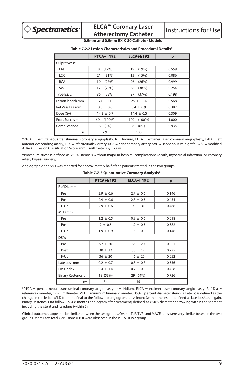

# **ELCA™ Coronary Laser ELCA<sup>T</sup> Coronary Laser** | Instructions for Use<br>Atherectomy Catheter | Instructions for Use

### **0.9mm and 0.9mm RX X-80 Catheter Models**

### **Table 7.2.2 Lesion Characteristics and Procedural Details\***

|                            | PTCA+Ir192      | ELCA+Ir192       | p     |
|----------------------------|-----------------|------------------|-------|
| Culprit vessel             |                 |                  |       |
| LAD                        | 8<br>(12%)      | 19<br>(19%)      | 0.559 |
| <b>LCX</b>                 | (31%)<br>21     | (15%)<br>15      | 0.086 |
| <b>RCA</b>                 | 19<br>(27%)     | (26%)<br>26      | 0.999 |
| <b>SVG</b>                 | (25%)<br>17     | (38%)<br>38      | 0.254 |
| Type B <sub>2</sub> /C     | (52%)<br>36     | (37%)<br>37      | 0.198 |
| Lesion length mm           | $24 \pm 11$     | $25 \pm 11.4$    | 0.568 |
| Ref Vess Dia mm            | $3.3 + 0.6$     | $3.4 + 0.9$      | 0.387 |
| Dose (Gy)                  | $14.3 \pm 0.7$  | $14.4 \pm 0.5$   | 0.309 |
| Proc. Success <sup>+</sup> | 69<br>$(100\%)$ | $(100\%)$<br>100 | 1.000 |
| Complications              | (9% )<br>6      | (6%)<br>6        | 0.935 |
| $n =$                      | 69              | 100              |       |

\*PTCA = percutaneous transluminal coronary angioplasty, Ir = Iridium, ELCA = excimer laser coronary angioplasty, LAD = left anterior descending artery, LCX = left circumflex artery, RCA = right coronary artery, SVG = saphenous vein graft, B2/C = modified AHA/ACC Lesion Classification Score, mm = millimeter, Gy = gray

†Procedure success defined as <50% stenosis without major in-hospital complications (death, myocardial infarction, or coronary artery bypass surgery).

Angiographic analysis was reported for approximately half of the patients treated in the two groups.

| Table 7.2.3 Quantitative Coronary Analysis* |  |  |
|---------------------------------------------|--|--|
|---------------------------------------------|--|--|

|                          | PTCA+Ir192    | ELCA+Ir192    | p     |
|--------------------------|---------------|---------------|-------|
| <b>Ref Dia mm</b>        |               |               |       |
| Pre                      | $2.9 + 0.6$   | $2.7 + 0.6$   | 0.146 |
| Post                     | $2.9 \pm 0.6$ | $2.8 \pm 0.5$ | 0.434 |
| F-Up                     | $2.9 \pm 0.6$ | $3 \pm 0.6$   | 0.466 |
| MLD mm                   |               |               |       |
| Pre                      | $1.2 \pm 0.5$ | $0.9 \pm 0.6$ | 0.018 |
| Post                     | $2 \pm 0.5$   | $1.9 \pm 0.5$ | 0.382 |
| F-Up                     | $1.9 \pm 0.9$ | $1.6 \pm 0.9$ | 0.146 |
| DS%                      |               |               |       |
| Pre                      | $57 \pm 20$   | $66 \pm 20$   | 0.051 |
| Post                     | $30 \pm 12$   | $33 \pm 12$   | 0.275 |
| F-Up                     | $36 \pm 20$   | $46 \pm 25$   | 0.052 |
| Late Loss mm             | $0.2 \pm 0.7$ | $0.3 \pm 0.8$ | 0.556 |
| Loss index               | $0.4 \pm 1.4$ | $0.2 \pm 0.8$ | 0.458 |
| <b>Binary Restenosis</b> | 18 (53%)      | 29 (64%)      | 0.726 |
| $n =$                    | 34            | 45            |       |

\*PTCA = percutaneous transluminal coronary angioplasty, Ir = Iridium, ELCA = excimer laser coronary angioplasty, Ref Dia = reference diameter, mm = millimeter, MLD = minimum luminal diameter, DS% = percent diameter stenosis, Late Loss defined as the change in the lesion MLD from the final to the follow-up angiogram. Loss Index (within the lesion) defined as late loss/acute gain. Binary Restenosis (at follow-up, 4-8 months angiogram after treatment) defined as ≥50% diameter narrowing within the segment including the stent and its edges (within 5 mm).

Clinical outcomes appear to be similar between the two groups. Overall TLR, TVR, and MACE rates were very similar between the two groups. More Late Total Occlusions (LTO) were observed in the PTCA+Ir192 group.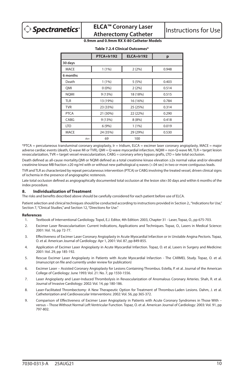

# **ELCA™ Coronary Laser ELCA<sup>T</sup> Coronary Laser** | Instructions for Use<br>Atherectomy Catheter

# **0.9mm and 0.9mm RX X-80 Catheter Models**

|             | PTCA+Ir192 | ELCA+Ir192 | p     |
|-------------|------------|------------|-------|
| 30 days     |            |            |       |
| <b>MACE</b> | 1(1%)      | 2(2%)      | 0.948 |
| 6 months    |            |            |       |
| Death       | 1(1%)      | 5(5%)      | 0.403 |
| OMI         | 0(0%       | 2(2%)      | 0.514 |
| <b>NQMI</b> | 9 (13%)    | 18 (18%)   | 0.515 |
| <b>TLR</b>  | 13 (19%)   | 16 (16%)   | 0.784 |
| <b>TVR</b>  | 23 (33%)   | 25 (25%)   | 0.314 |
| <b>PTCA</b> | 21 (30%)   | 22 (22%)   | 0.290 |
| CABG        | 9 (13%)    | 8(8%)      | 0.418 |
| <b>LTO</b>  | 6(9%)      | $1(1\%)$   | 0.019 |
| <b>MACE</b> | 24 (35%)   | 29 (29%)   | 0.530 |
| $n =$       | 69         | 100        |       |

#### **Table 7.2.4 Clinical Outcomes\***

\*PTCA = percutaneous transluminal coronary angioplasty, Ir = Iridium, ELCA = excimer laser coronary angioplasty, MACE = major adverse cardiac events (death, Q-wave MI or TVR), QMI = Q-wave myocardial infarction, NQMI = non-Q-wave MI, TLR = target lesion revascularization, TVR = target vessel revascularization, CABG = coronary artery bypass grafts, LTO = late total occlusion.

Death defined as all-cause mortality.QMI or NQMI defined as a total creatinine kinase elevation ≥2x normal value and/or elevated creatinine kinase MB fraction ≥20 ng/ml with or without new pathological q waves (>.04 sec) in two or more contiguous leads.

TVR and TLR as characterized by repeat percutaneous intervention (PTCA) or CABG involving the treated vessel, driven clinical signs of ischemia in the presence of angiographic restenosis.

Late total occlusion defined as angiographically documented total occlusion at the lesion site>30 days and within 6 months of the index procedure.

### **8. Individualization of Treatment**

The risks and benefits described above should be carefully considered for each patient before use of ELCA.

Patient selection and clinical techniques should be conducted according to instructions provided in Section 2., "Indications for Use," Section 7, "Clinical Studies," and Section 12, "Directions for Use."

#### **References**

- 1. Textbook of Interventional Cardiology. Topol, E.J. Editor, 4th Edition: 2003, Chapter 31 Laser, Topaz, O., pp 675-703.
- 2. Excimer Laser Revascularisation: Current Indications, Applications and Techniques. Topaz, O., Lasers in Medical Science: 2001: Vol. 16, pp 72-77.
- 3. Effectiveness of Excimer Laser Coronary Angioplasty in Acute Myocardial Infarction or in Unstable Angina Pectoris. Topaz, O. et al. American Journal of Cardiology: Apr 1, 2001: Vol. 87, pp 849-855.
- 4. Application of Excimer Laser Angioplasty in Acute Myocardial Infarction. Topaz, O. et al, Lasers in Surgery and Medicine: 2001: Vol. 29, pp 185-192.
- 5. Rescue Excimer Laser Angioplasty in Patients with Acute Myocardial Infarction The CARMEL Study. Topaz, O. et al. (manuscript on file and currently under review for publication)
- 6. Excimer Laser Assisted Coronary Angioplasty for Lesions Containing Thrombus. Estella, P. et al. Journal of the American College of Cardiology: June 1993: Vol. 21: No. 7, pp 1550-1556.
- 7. Laser Angioplasty and Laser-Induced Thrombolysis in Revascularization of Anomalous Coronary Arteries. Shah, R. et al. Journal of Invasive Cardiology: 2002: Vol. 14, pp 180-186.
- 8. Laser-Facilitated Thrombectomy: A New Therapeutic Option for Treatment of Thrombus-Laden Lesions. Dahm, J. et al. Catheterization and Cardiovascular Interventions: 2002: Vol. 56, pp 365-372.
- 9. Comparison of Effectiveness of Excimer Laser Angioplasty in Patients with Acute Coronary Syndromes in Those With versus – Those Without Normal Left Ventricular Function. Topaz, O. et al. American Journal of Cardiology: 2003: Vol. 91, pp 797-802.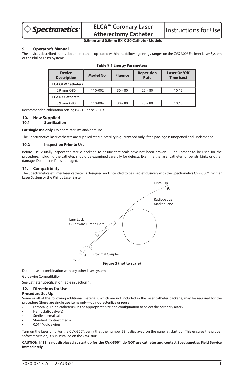

# **ELCA™ Coronary Laser ELCA**<sup>th</sup> Coronary Laser<br>Atherectomy Catheter | Instructions for Use

**0.9mm and 0.9mm RX X-80 Catheter Models**

### **9. Operator's Manual**

The devices described in this document can be operated within the following energy ranges on the CVX-300® Excimer Laser System or the Philips Laser System:

| <b>Device</b><br><b>Description</b> | Model No. | <b>Fluence</b> | <b>Repetition</b><br>Rate | Laser On/Off<br>Time (sec) |
|-------------------------------------|-----------|----------------|---------------------------|----------------------------|
| <b>ELCA OTW Catheters</b>           |           |                |                           |                            |
| $0.9$ mm $X-80$                     | 110-002   | $30 - 80$      | $25 - 80$                 | 10/5                       |
| <b>ELCA RX Catheters</b>            |           |                |                           |                            |
| $0.9$ mm $X-80$                     | 110-004   | $30 - 80$      | $25 - 80$                 | 10/5                       |

### **Table 9.1 Energy Parameters**

Recommended calibration settings: 45 Fluence, 25 Hz.

### **10. How Supplied**

### **10.1 Sterilization**

**For single use only.** Do not re-sterilize and/or reuse.

The Spectranetics laser catheters are supplied sterile. Sterility is guaranteed only if the package is unopened and undamaged.

### **10.2 Inspection Prior to Use**

Before use, visually inspect the sterile package to ensure that seals have not been broken. All equipment to be used for the procedure, including the catheter, should be examined carefully for defects. Examine the laser catheter for bends, kinks or other damage. Do not use if it is damaged.

### **11. Compatibility**

The Spectranetics excimer laser catheter is designed and intended to be used exclusively with the Spectranetics CVX-300® Excimer Laser System or the Philips Laser System.



Do not use in combination with any other laser system.

Guidewire Compatibility

See Catheter Specification Table in Section 1.

### **12. Directions for Use**

### **Procedure Set-Up**

Some or all of the following additional materials, which are not included in the laser catheter package, may be required for the procedure (these are single use items only—do not resterilize or reuse):

- Femoral guiding catheter(s) in the appropriate size and configuration to select the coronary artery
- Hemostatic valve(s)
- Sterile normal saline
- Standard contrast media
- 0.014" guidewires

Turn on the laser unit. For the CVX-300®, verify that the number 38 is displayed on the panel at start up. This ensures the proper software version, 3.8, is installed on the CVX-300®.

### **CAUTION: If 38 is not displayed at start up for the CVX-300®, do NOT use catheter and contact Spectranetics Field Service immediately.**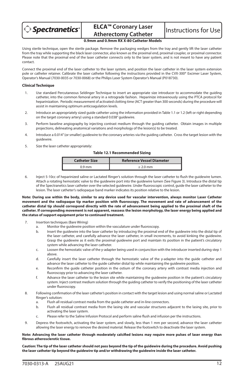Spectranetics®

# **ELCA™ Coronary Laser ELCA<sup>T</sup> Coronary Laser** | Instructions for Use<br>Atherectomy Catheter | Instructions for Use

## **0.9mm and 0.9mm RX X-80 Catheter Models**

Using sterile technique, open the sterile package. Remove the packaging wedges from the tray and gently lift the laser catheter from the tray while supporting the black laser connector, also known as the proximal end, proximal coupler, or proximal connector. Please note that the proximal end of the laser catheter connects only to the laser system, and is not meant to have any patient contact.

Connect the proximal end of the laser catheter to the laser system, and position the laser catheter in the laser system extension pole or catheter retainer. Calibrate the laser catheter following the instructions provided in the CVX-300® Excimer Laser System, Operator's Manual (7030-0035 or 7030-0068) or the Philips Laser System Operator's Manual (P018730).

### **Clinical Technique**

- 1. Use standard Percutaneous Seldinger Technique to insert an appropriate size introducer to accommodate the guiding catheter, into the common femoral artery in a retrograde fashion. Heparinize intravenously using the PTCA protocol for heparinization. Periodic measurement of activated clotting time (ACT greater than 300 seconds) during the procedure will assist in maintaining optimum anticoagulation levels.
- 2. Introduce an appropriately sized guide catheter using the information provided in Table 1.1 or 1.2 (left or right depending on the target coronary artery) using a standard 0.038" guidewire.
- 3. Perform baseline angiography by injecting contrast medium through the guiding catheter. Obtain images in multiple projections, delineating anatomical variations and morphology of the lesion(s) to be treated.
- 4. Introduce a 0.014" (or smaller) guidewire to the coronary arteries via the guiding catheter. Cross the target lesion with the guidewire.
- 5. Size the laser catheter appropriately:

#### **Table 12.1 Recommended Sizing**

| <b>Catheter Size</b> | <b>Reference Vessel Diameter</b> |
|----------------------|----------------------------------|
| 09 mm                | $> 20$ mm                        |

6. Inject 5-10cc of heparinized saline or Lactated Ringer's solution through the laser catheter to flush the guidewire lumen. Attach a rotating hemostatic valve to the guidewire port into the guidewire lumen (See Figure 3). Introduce the distal tip of the Spectranetics laser catheter over the selected guidewire. Under fluoroscopic control, guide the laser catheter to the lesion. The laser catheter's radiopaque band marker indicates its position relative to the lesion.

**Note: During use within the body, similar to any device used for vascular intervention, always monitor Laser Catheter movement and the radiopaque tip marker position with fluoroscopy. The movement and rate of advancement of the catheter distal tip should correspond directly with the rate of advancement being applied to the proximal shaft of the catheter. If corresponding movement is not apparent, reassess the lesion morphology, the laser energy being applied and the status of support equipment prior to continued treatment.**

- 7. Insertion techniques (Bare Wiring)
	- a. Monitor the guidewire position within the vasculature under fluoroscopy.
	- b. Insert the guidewire into the laser catheter by introducing the proximal end of the guidewire into the distal tip of the laser catheter, and carefully advance the laser catheter, in small increments, to avoid kinking the guidewire. Grasp the guidewire as it exits the proximal guidewire port and maintain its position in the patient's circulatory system while advancing the laser catheter.
	- c. Loosen the hemostatic valve of the y-adapter being used in conjunction with the introducer inserted during step 1 above.
	- d. Carefully insert the laser catheter through the hemostatic valve of the y-adapter into the guide catheter and advance the laser catheter to the guide catheter distal tip while maintaining the guidewire position.
	- e. Reconfirm the guide catheter position in the ostium of the coronary artery with contrast media injection and fluoroscopy prior to advancing the laser catheter.
	- f. Advance the laser catheter to the lesion site while maintaining the guidewire position in the patient's circulatory system. Inject contrast medium solution through the guiding catheter to verify the positioning of the laser catheter under fluoroscopy.
- 8. Following confirmation of the laser catheter's position in contact with the target lesion and using normal saline or Lactated Ringer's solution:
	- a. Flush all residual contrast media from the guide catheter and in-line connectors.
	- b. Flush all residual contrast media from the lasing site and vascular structures adjacent to the lasing site, prior to activating the laser system.
	- c. Please refer to the Saline Infusion Protocol and perform saline flush and infusion per the instructions.
- 9. Depress the footswitch, activating the laser system, and slowly, less than 1 mm per second, advance the laser catheter allowing the laser energy to remove the desired material. Release the footswitch to deactivate the laser system.

#### **Note: Advancing the laser catheter through moderately calcified lesions may require more pulses of laser energy than fibrous atherosclerotic tissue.**

**Caution: The tip of the laser catheter should not pass beyond the tip of the guidewire during the procedure. Avoid pushing the laser catheter tip beyond the guidewire tip and/or withdrawing the guidewire inside the laser catheter.**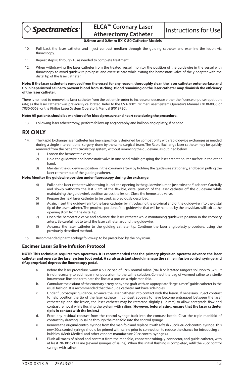

- 10. Pull back the laser catheter and inject contrast medium through the guiding catheter and examine the lesion via fluoroscopy.
- 11. Repeat steps 8 through 10 as needed to complete treatment.
- 12. When withdrawing the laser catheter from the treated vessel, monitor the position of the guidewire in the vessel with fluoroscopy to avoid guidewire prolapse, and exercise care while exiting the hemostatic valve of the y-adapter with the distal tip of the laser catheter.

#### **Note: If the laser catheter is removed from the vessel for any reason, thoroughly clean the laser catheter outer surface and tip in heparinized saline to prevent blood from sticking. Blood remaining on the laser catheter may diminish the efficiency of the laser catheter.**

There is no need to remove the laser catheter from the patient in order to increase or decrease either the fluence or pulse repetition rate; as the laser catheter was previously calibrated. Refer to the CVX-300® Excimer Laser System Operator's Manual, (7030-0035 or 7030-0068) or the Philips Laser System Operator's Manual (P018730).

### **Note: All patients should be monitored for blood pressure and heart rate during the procedure.**

13. Following laser atherectomy, perform follow-up angiography and balloon angioplasty, if needed.

# **RX ONLY**

- 14. The Rapid Exchange laser catheter has been specifically designed for compatibility with rapid device exchanges as needed during a single interventional surgery, done by the same surgical team. The Rapid Exchange laser catheter may be quickly removed from the patient's circulatory system, without removing the guidewire, as outlined below.
	- 1) Loosen the hemostatic valve.
	- 2) Hold the guidewire and hemostatic valve in one hand, while grasping the laser catheter outer surface in the other hand.
	- 3) Maintain the guidewire's position in the coronary artery by holding the guidewire stationary, and begin pulling the laser catheter out of the guiding catheter.

### **Note: Monitor the guidewire position under fluoroscopy during the exchange.**

- 4) Pull on the laser catheter withdrawing it until the opening in the guidewire lumen just exits the Y-adapter. Carefully and slowly withdraw the last 9 cm of the flexible, distal portion of the laser catheter off the guidewire while maintaining the guidewire's position across the lesion. Close the hemostatic valve.
- 5) Prepare the next laser catheter to be used, as previously described.
- 6) Again, insert the guidewire into the laser catheter by introducing the proximal end of the guidewire into the distal tip of the laser catheter. The proximal portion of the guidewire, that will be handled by the physician, will exit at the opening 9 cm from the distal tip.
- 7) Open the hemostatic valve and advance the laser catheter while maintaining guidewire position in the coronary artery. Be careful not to twist the laser catheter around the guidewire.
- 8) Advance the laser catheter to the guiding catheter tip. Continue the laser angioplasty procedure, using the previously described method.
- 15. Recommended pharmacology follow-up to be prescribed by the physician.

### **Excimer Laser Saline Infusion Protocol**

**NOTE: This technique requires two operators. It is recommended that the primary physician-operator advance the laser catheter and operate the laser system foot pedal. A scrub assistant should manage the saline infusion control syringe and (if appropriate) depress the fluoroscopy pedal.** 

- Before the laser procedure, warm a 500cc bag of 0.9% normal saline (NaCl) or lactated Ringer's solution to 37°C. It is not necessary to add heparin or potassium to the saline solution. Connect the bag of warmed saline to a sterile intravenous line and terminate the line at a port on a triple manifold.
- b. Cannulate the ostium of the coronary artery or bypass graft with an appropriate "large lumen" guide catheter in the usual fashion. It is recommended that the guide catheter **not** have side holes.
- c. Under fluoroscopic guidance, advance the laser catheter into contact with the lesion. If necessary, inject contrast to help position the tip of the laser catheter. If contrast appears to have become entrapped between the laser catheter tip and the lesion, the laser catheter may be retracted slightly (1-2 mm) to allow antegrade flow and contrast removal while flushing the system with saline. **(However, before lasing, ensure that the laser catheter tip is in contact with the lesion.)**
- d. Expel any residual contrast from the control syringe back into the contrast bottle. Clear the triple manifold of contrast by drawing up saline through the manifold into the control syringe.
- e. Remove the original control syringe from the manifold and replace it with a fresh 20cc luer-lock control syringe. This new 20cc control syringe should be primed with saline prior to connection to reduce the chance for introducing air bubbles. (Merit Medical and other vendors manufacture 20cc control syringes.)
- f. Flush all traces of blood and contrast from the manifold, connector tubing, y-connector, and guide catheter, with at least 20-30cc of saline (several syringes of saline). When this initial flushing is completed, refill the 20cc control syringe with saline.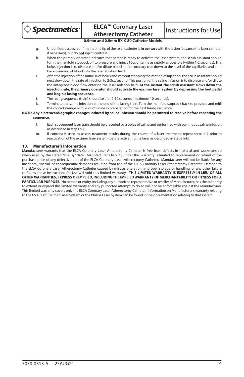

- g. Under fluoroscopy, confirm that the tip of the laser catheter is **in contact** with the lesion (advance the laser catheter if necessary), but do **not** inject contrast.
- h. When the primary operator indicates that he/she is ready to activate the laser system, the scrub assistant should turn the manifold stopcock off to pressure and inject 10cc of saline as rapidly as possible (within 1-2 seconds). This bolus injection is to displace and/or dilute blood in the coronary tree down to the level of the capillaries and limit back-bleeding of blood into the laser ablation field.
- i. After the injection of the initial 10cc bolus and without stopping the motion of injection, the scrub assistant should next slow down the rate of injection to 2-3cc/second. This portion of the saline infusion is to displace and/or dilute the antegrade blood flow entering the laser ablation field. **At the instant the scrub assistant slows down the injection rate, the primary operator should activate the excimer laser system by depressing the foot pedal and begin a lasing sequence.**
- j. The lasing sequence (train) should last for 2-10 seconds (maximum 10 seconds).
- k. Terminate the saline injection at the end of the lasing train. Turn the manifold stopcock back to pressure and refill the control syringe with 20cc of saline in preparation for the next lasing sequence.

### **NOTE: Any electrocardiographic changes induced by saline infusion should be permitted to resolve before repeating the sequence.**

- l. Each subsequent laser train should be preceded by a bolus of saline and performed with continuous saline infusion as described in steps h-k.
- m. If contrast is used to assess treatment results during the course of a laser treatment, repeat steps 4-7 prior to reactivation of the excimer laser system (before activating the laser as described in steps h-k).

### **13. Manufacturer's Information**

Manufacturer warrants that the ELCA Coronary Laser Atherectomy Catheter is free from defects in material and workmanship when used by the stated "Use By" date. Manufacturer's liability under this warranty is limited to replacement or refund of the purchase price of any defective unit of the ELCA Coronary Laser Atherectomy Catheter. Manufacturer will not be liable for any incidental, special, or consequential damages resulting from use of the ELCA Coronary Laser Atherectomy Catheter. Damage to the ELCA Coronary Laser Atherectomy Catheter caused by misuse, alteration, improper storage or handling, or any other failure to follow these Instructions for Use will void this limited warranty. **THIS LIMITED WARRANTY IS EXPRESSLY IN LIEU OF ALL OTHER WARRANTIES, EXPRESS OR IMPLIED, INCLUDING THE IMPLIED WARRANTY OF MERCHANTABILITY OR FITNESS FOR A PARTICULAR PURPOSE.** No person or entity, including any authorized representative or reseller of Manufacturer, has the authority to extend or expand this limited warranty and any purported attempt to do so will not be enforceable against the Manufacturer. This limited warranty covers only the ELCA Coronary Laser Atherectomy Catheter. Information on Manufacturer's warranty relating to the CVX-300® Excimer Laser System or the Philips Laser System can be found in the documentation relating to that system.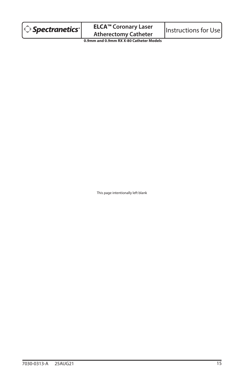| $ \bigcirc$ Spectranetics <sup>®</sup> | <b>ELCA<sup>™</sup> Coronary Laser</b><br><b>Atherectomy Catheter</b> | Instructions for Use |
|----------------------------------------|-----------------------------------------------------------------------|----------------------|
|----------------------------------------|-----------------------------------------------------------------------|----------------------|

This page intentionally left blank